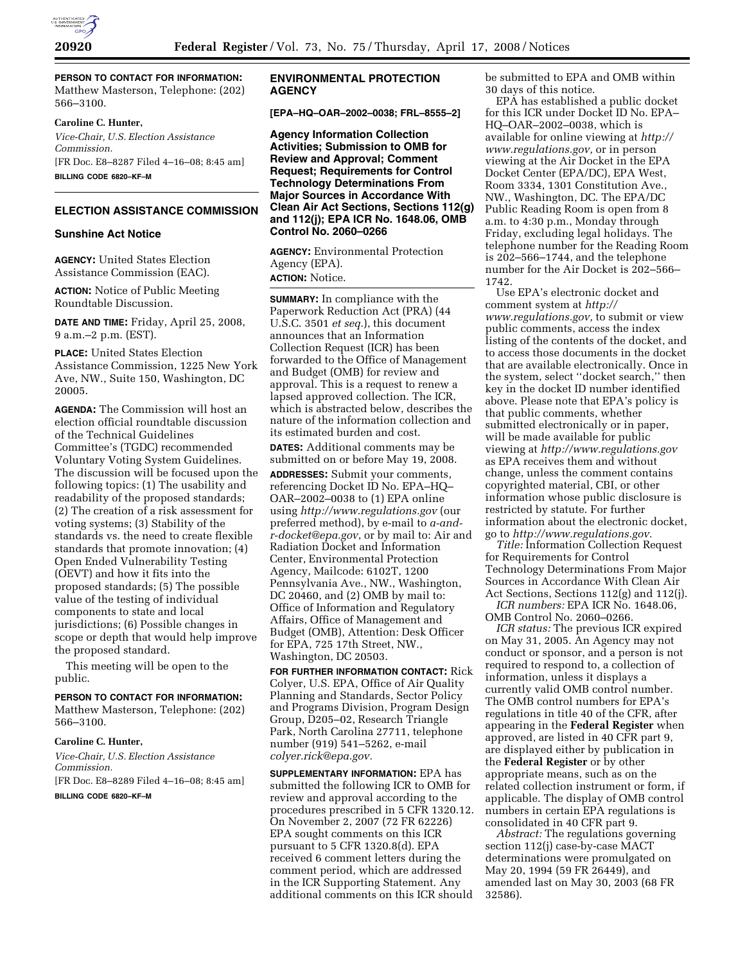

**PERSON TO CONTACT FOR INFORMATION:**  Matthew Masterson, Telephone: (202) 566–3100.

#### **Caroline C. Hunter,**

*Vice-Chair, U.S. Election Assistance Commission.*  [FR Doc. E8–8287 Filed 4–16–08; 8:45 am] **BILLING CODE 6820–KF–M** 

#### **ELECTION ASSISTANCE COMMISSION**

## **Sunshine Act Notice**

**AGENCY:** United States Election Assistance Commission (EAC).

**ACTION:** Notice of Public Meeting Roundtable Discussion.

**DATE AND TIME:** Friday, April 25, 2008, 9 a.m.–2 p.m. (EST).

**PLACE:** United States Election Assistance Commission, 1225 New York Ave, NW., Suite 150, Washington, DC 20005.

**AGENDA:** The Commission will host an election official roundtable discussion of the Technical Guidelines Committee's (TGDC) recommended Voluntary Voting System Guidelines. The discussion will be focused upon the following topics: (1) The usability and readability of the proposed standards; (2) The creation of a risk assessment for voting systems; (3) Stability of the standards vs. the need to create flexible standards that promote innovation; (4) Open Ended Vulnerability Testing (OEVT) and how it fits into the proposed standards; (5) The possible value of the testing of individual components to state and local jurisdictions; (6) Possible changes in scope or depth that would help improve the proposed standard.

This meeting will be open to the public.

#### **PERSON TO CONTACT FOR INFORMATION:**

Matthew Masterson, Telephone: (202) 566–3100.

## **Caroline C. Hunter,**

*Vice-Chair, U.S. Election Assistance Commission.*  [FR Doc. E8–8289 Filed 4–16–08; 8:45 am]

**BILLING CODE 6820–KF–M** 

## **ENVIRONMENTAL PROTECTION AGENCY**

**[EPA–HQ–OAR–2002–0038; FRL–8555–2]** 

**Agency Information Collection Activities; Submission to OMB for Review and Approval; Comment Request; Requirements for Control Technology Determinations From Major Sources in Accordance With Clean Air Act Sections, Sections 112(g) and 112(j); EPA ICR No. 1648.06, OMB Control No. 2060–0266** 

**AGENCY:** Environmental Protection Agency (EPA). **ACTION:** Notice.

**SUMMARY:** In compliance with the Paperwork Reduction Act (PRA) (44 U.S.C. 3501 *et seq.*), this document announces that an Information Collection Request (ICR) has been forwarded to the Office of Management and Budget (OMB) for review and approval. This is a request to renew a lapsed approved collection. The ICR, which is abstracted below, describes the nature of the information collection and its estimated burden and cost.

**DATES:** Additional comments may be submitted on or before May 19, 2008.

**ADDRESSES:** Submit your comments, referencing Docket ID No. EPA–HQ– OAR–2002–0038 to (1) EPA online using *http://www.regulations.gov* (our preferred method), by e-mail to *a-andr-docket@epa.gov*, or by mail to: Air and Radiation Docket and Information Center, Environmental Protection Agency, Mailcode: 6102T, 1200 Pennsylvania Ave., NW., Washington, DC 20460, and (2) OMB by mail to: Office of Information and Regulatory Affairs, Office of Management and Budget (OMB), Attention: Desk Officer for EPA, 725 17th Street, NW., Washington, DC 20503.

**FOR FURTHER INFORMATION CONTACT:** Rick Colyer, U.S. EPA, Office of Air Quality Planning and Standards, Sector Policy and Programs Division, Program Design Group, D205–02, Research Triangle Park, North Carolina 27711, telephone number (919) 541–5262, e-mail *colyer.rick@epa.gov.* 

**SUPPLEMENTARY INFORMATION:** EPA has submitted the following ICR to OMB for review and approval according to the procedures prescribed in 5 CFR 1320.12. On November 2, 2007 (72 FR 62226) EPA sought comments on this ICR pursuant to 5 CFR 1320.8(d). EPA received 6 comment letters during the comment period, which are addressed in the ICR Supporting Statement. Any additional comments on this ICR should

be submitted to EPA and OMB within 30 days of this notice.

EPA has established a public docket for this ICR under Docket ID No. EPA– HQ–OAR–2002–0038, which is available for online viewing at *http:// www.regulations.gov,* or in person viewing at the Air Docket in the EPA Docket Center (EPA/DC), EPA West, Room 3334, 1301 Constitution Ave., NW., Washington, DC. The EPA/DC Public Reading Room is open from 8 a.m. to 4:30 p.m., Monday through Friday, excluding legal holidays. The telephone number for the Reading Room is 202–566–1744, and the telephone number for the Air Docket is 202–566– 1742.

Use EPA's electronic docket and comment system at *http:// www.regulations.gov,* to submit or view public comments, access the index listing of the contents of the docket, and to access those documents in the docket that are available electronically. Once in the system, select ''docket search,'' then key in the docket ID number identified above. Please note that EPA's policy is that public comments, whether submitted electronically or in paper, will be made available for public viewing at *http://www.regulations.gov*  as EPA receives them and without change, unless the comment contains copyrighted material, CBI, or other information whose public disclosure is restricted by statute. For further information about the electronic docket, go to *http://www.regulations.gov.* 

*Title:* Information Collection Request for Requirements for Control Technology Determinations From Major Sources in Accordance With Clean Air Act Sections, Sections 112(g) and 112(j).

*ICR numbers:* EPA ICR No. 1648.06, OMB Control No. 2060–0266.

*ICR status:* The previous ICR expired on May 31, 2005. An Agency may not conduct or sponsor, and a person is not required to respond to, a collection of information, unless it displays a currently valid OMB control number. The OMB control numbers for EPA's regulations in title 40 of the CFR, after appearing in the **Federal Register** when approved, are listed in 40 CFR part 9, are displayed either by publication in the **Federal Register** or by other appropriate means, such as on the related collection instrument or form, if applicable. The display of OMB control numbers in certain EPA regulations is consolidated in 40 CFR part 9.

*Abstract:* The regulations governing section 112(j) case-by-case MACT determinations were promulgated on May 20, 1994 (59 FR 26449), and amended last on May 30, 2003 (68 FR 32586).